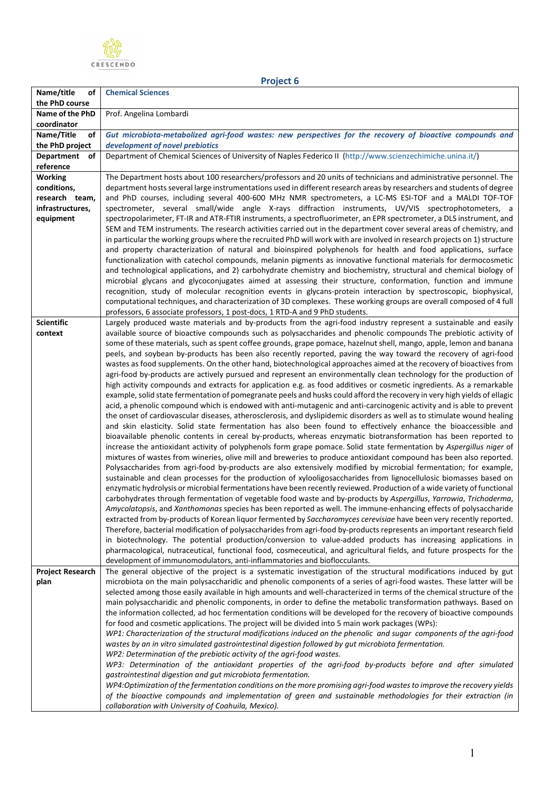

**Name/title of the PhD course Chemical Sciences Name of the PhD coordinator** Prof. Angelina Lombardi **Name/Title of the PhD project** *Gut microbiota-metabolized agri-food wastes: new perspectives for the recovery of bioactive compounds and development of novel prebiotics* **Department of reference** Department of Chemical Sciences of University of Naples Federico II [\(http://www.scienzechimiche.unina.it/\)](http://www.scienzechimiche.unina.it/) **Working conditions, research team, infrastructures, equipment** The Department hosts about 100 researchers/professors and 20 units of technicians and administrative personnel. The department hosts several large instrumentations used in different research areas by researchers and students of degree and PhD courses, including several 400-600 MHz NMR spectrometers, a LC-MS ESI-TOF and a MALDI TOF-TOF spectrometer, several small/wide angle X-rays diffraction instruments, UV/VIS spectrophotometers, a spectropolarimeter, FT-IR and ATR-FTIR instruments, a spectrofluorimeter, an EPR spectrometer, a DLS instrument, and SEM and TEM instruments. The research activities carried out in the department cover several areas of chemistry, and in particular the working groups where the recruited PhD will work with are involved in research projects on 1) structure and property characterization of natural and bioinspired polyphenols for health and food applications, surface functionalization with catechol compounds, melanin pigments as innovative functional materials for dermocosmetic and technological applications, and 2) carbohydrate chemistry and biochemistry, structural and chemical biology of microbial glycans and glycoconjugates aimed at assessing their structure, conformation, function and immune recognition, study of molecular recognition events in glycans-protein interaction by spectroscopic, biophysical, computational techniques, and characterization of 3D complexes. These working groups are overall composed of 4 full professors, 6 associate professors, 1 post-docs, 1 RTD-A and 9 PhD students. **Scientific context** Largely produced waste materials and by-products from the agri-food industry represent a sustainable and easily available source of bioactive compounds such as polysaccharides and phenolic compounds The prebiotic activity of some of these materials, such as spent coffee grounds, grape pomace, hazelnut shell, mango, apple, lemon and banana peels, and soybean by-products has been also recently reported, paving the way toward the recovery of agri-food wastes as food supplements. On the other hand, biotechnological approaches aimed at the recovery of bioactives from agri-food by-products are actively pursued and represent an environmentally clean technology for the production of high activity compounds and extracts for application e.g. as food additives or cosmetic ingredients. As a remarkable example, solid state fermentation of pomegranate peels and husks could afford the recovery in very high yields of ellagic acid, a phenolic compound which is endowed with anti-mutagenic and anti-carcinogenic activity and is able to prevent the onset of cardiovascular diseases, atherosclerosis, and dyslipidemic disorders as well as to stimulate wound healing and skin elasticity. Solid state fermentation has also been found to effectively enhance the bioaccessible and bioavailable phenolic contents in cereal by-products, whereas enzymatic biotransformation has been reported to increase the antioxidant activity of polyphenols form grape pomace. Solid state fermentation by *Aspergillus niger* of mixtures of wastes from wineries, olive mill and breweries to produce antioxidant compound has been also reported. Polysaccharides from agri-food by-products are also extensively modified by microbial fermentation; for example, sustainable and clean processes for the production of xylooligosaccharides from lignocellulosic biomasses based on enzymatic hydrolysis or microbial fermentations have been recently reviewed. Production of a wide variety of functional carbohydrates through fermentation of vegetable food waste and by-products by *Aspergillus*, *Yarrowia*, *Trichoderma*, *Amycolatopsis*, and *Xanthomonas* species has been reported as well. The immune-enhancing effects of polysaccharide extracted from by-products of Korean liquor fermented by *Saccharomyces cerevisiae* have been very recently reported. Therefore, bacterial modification of polysaccharides from agri-food by-products represents an important research field in biotechnology. The potential production/conversion to value-added products has increasing applications in pharmacological, nutraceutical, functional food, cosmeceutical, and agricultural fields, and future prospects for the development of immunomodulators, anti-inflammatories and bioflocculants. **Project Research plan**  The general objective of the project is a systematic investigation of the structural modifications induced by gut microbiota on the main polysaccharidic and phenolic components of a series of agri-food wastes. These latter will be selected among those easily available in high amounts and well-characterized in terms of the chemical structure of the main polysaccharidic and phenolic components, in order to define the metabolic transformation pathways. Based on the information collected, ad hoc fermentation conditions will be developed for the recovery of bioactive compounds for food and cosmetic applications. The project will be divided into 5 main work packages (WPs): *WP1: Characterization of the structural modifications induced on the phenolic and sugar components of the agri-food wastes by an in vitro simulated gastrointestinal digestion followed by gut microbiota fermentation. WP2: Determination of the prebiotic activity of the agri-food wastes.* 

**Project 6**

*WP3: Determination of the antioxidant properties of the agri-food by-products before and after simulated gastrointestinal digestion and gut microbiota fermentation.* 

*WP4:Optimization of the fermentation conditions on the more promising agri-food wastes to improve the recovery yields of the bioactive compounds and implementation of green and sustainable methodologies for their extraction (in collaboration with University of Coahuila, Mexico).*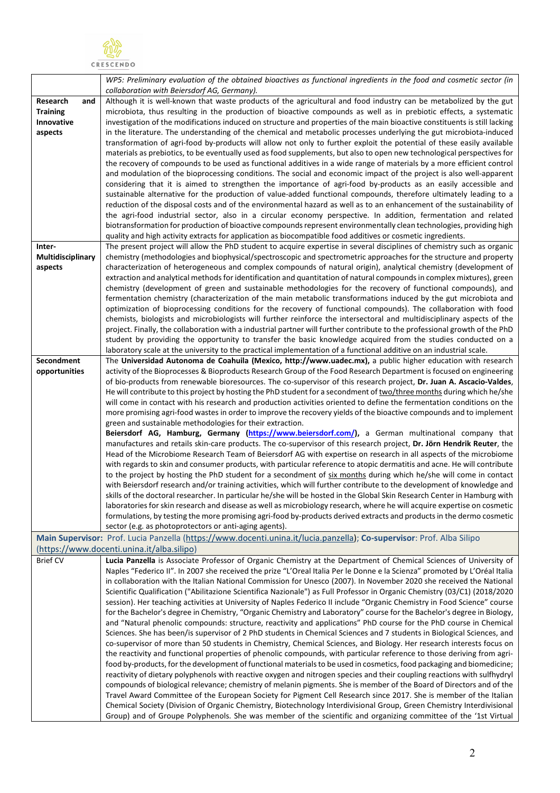

|                                                                                                                       | WP5: Preliminary evaluation of the obtained bioactives as functional ingredients in the food and cosmetic sector (in                                                                                                                                  |  |
|-----------------------------------------------------------------------------------------------------------------------|-------------------------------------------------------------------------------------------------------------------------------------------------------------------------------------------------------------------------------------------------------|--|
| Research<br>and                                                                                                       | collaboration with Beiersdorf AG, Germany).<br>Although it is well-known that waste products of the agricultural and food industry can be metabolized by the gut                                                                                      |  |
| <b>Training</b>                                                                                                       | microbiota, thus resulting in the production of bioactive compounds as well as in prebiotic effects, a systematic                                                                                                                                     |  |
| Innovative                                                                                                            | investigation of the modifications induced on structure and properties of the main bioactive constituents is still lacking                                                                                                                            |  |
| aspects                                                                                                               | in the literature. The understanding of the chemical and metabolic processes underlying the gut microbiota-induced                                                                                                                                    |  |
|                                                                                                                       | transformation of agri-food by-products will allow not only to further exploit the potential of these easily available                                                                                                                                |  |
|                                                                                                                       | materials as prebiotics, to be eventually used as food supplements, but also to open new technological perspectives for                                                                                                                               |  |
|                                                                                                                       | the recovery of compounds to be used as functional additives in a wide range of materials by a more efficient control                                                                                                                                 |  |
|                                                                                                                       | and modulation of the bioprocessing conditions. The social and economic impact of the project is also well-apparent                                                                                                                                   |  |
|                                                                                                                       | considering that it is aimed to strengthen the importance of agri-food by-products as an easily accessible and                                                                                                                                        |  |
|                                                                                                                       | sustainable alternative for the production of value-added functional compounds, therefore ultimately leading to a                                                                                                                                     |  |
|                                                                                                                       | reduction of the disposal costs and of the environmental hazard as well as to an enhancement of the sustainability of                                                                                                                                 |  |
|                                                                                                                       | the agri-food industrial sector, also in a circular economy perspective. In addition, fermentation and related                                                                                                                                        |  |
|                                                                                                                       | biotransformation for production of bioactive compounds represent environmentally clean technologies, providing high                                                                                                                                  |  |
|                                                                                                                       | quality and high activity extracts for application as biocompatible food additives or cosmetic ingredients.                                                                                                                                           |  |
| Inter-                                                                                                                | The present project will allow the PhD student to acquire expertise in several disciplines of chemistry such as organic                                                                                                                               |  |
| Multidisciplinary<br>aspects                                                                                          | chemistry (methodologies and biophysical/spectroscopic and spectrometric approaches for the structure and property<br>characterization of heterogeneous and complex compounds of natural origin), analytical chemistry (development of                |  |
|                                                                                                                       | extraction and analytical methods for identification and quantitation of natural compounds in complex mixtures), green                                                                                                                                |  |
|                                                                                                                       | chemistry (development of green and sustainable methodologies for the recovery of functional compounds), and                                                                                                                                          |  |
|                                                                                                                       | fermentation chemistry (characterization of the main metabolic transformations induced by the gut microbiota and                                                                                                                                      |  |
|                                                                                                                       | optimization of bioprocessing conditions for the recovery of functional compounds). The collaboration with food                                                                                                                                       |  |
|                                                                                                                       | chemists, biologists and microbiologists will further reinforce the intersectoral and multidisciplinary aspects of the                                                                                                                                |  |
|                                                                                                                       | project. Finally, the collaboration with a industrial partner will further contribute to the professional growth of the PhD                                                                                                                           |  |
|                                                                                                                       | student by providing the opportunity to transfer the basic knowledge acquired from the studies conducted on a                                                                                                                                         |  |
|                                                                                                                       | laboratory scale at the university to the practical implementation of a functional additive on an industrial scale.                                                                                                                                   |  |
| Secondment                                                                                                            | The Universidad Autonoma de Coahuila (Mexico, http://www.uadec.mx), a public higher education with research                                                                                                                                           |  |
| opportunities                                                                                                         | activity of the Bioprocesses & Bioproducts Research Group of the Food Research Department is focused on engineering<br>of bio-products from renewable bioresources. The co-supervisor of this research project, Dr. Juan A. Ascacio-Valdes,           |  |
|                                                                                                                       | He will contribute to this project by hosting the PhD student for a secondment of two/three months during which he/she                                                                                                                                |  |
|                                                                                                                       | will come in contact with his research and production activities oriented to define the fermentation conditions on the                                                                                                                                |  |
|                                                                                                                       | more promising agri-food wastes in order to improve the recovery yields of the bioactive compounds and to implement                                                                                                                                   |  |
|                                                                                                                       | green and sustainable methodologies for their extraction.                                                                                                                                                                                             |  |
|                                                                                                                       | Beiersdorf AG, Hamburg, Germany (https://www.beiersdorf.com/), a German multinational company that                                                                                                                                                    |  |
|                                                                                                                       | manufactures and retails skin-care products. The co-supervisor of this research project, Dr. Jörn Hendrik Reuter, the                                                                                                                                 |  |
|                                                                                                                       | Head of the Microbiome Research Team of Beiersdorf AG with expertise on research in all aspects of the microbiome                                                                                                                                     |  |
|                                                                                                                       | with regards to skin and consumer products, with particular reference to atopic dermatitis and acne. He will contribute                                                                                                                               |  |
|                                                                                                                       | to the project by hosting the PhD student for a secondment of six months during which he/she will come in contact                                                                                                                                     |  |
|                                                                                                                       | with Beiersdorf research and/or training activities, which will further contribute to the development of knowledge and                                                                                                                                |  |
|                                                                                                                       | skills of the doctoral researcher. In particular he/she will be hosted in the Global Skin Research Center in Hamburg with<br>laboratories for skin research and disease as well as microbiology research, where he will acquire expertise on cosmetic |  |
|                                                                                                                       | formulations, by testing the more promising agri-food by-products derived extracts and products in the dermo cosmetic                                                                                                                                 |  |
|                                                                                                                       | sector (e.g. as photoprotectors or anti-aging agents).                                                                                                                                                                                                |  |
| Main Supervisor: Prof. Lucia Panzella (https://www.docenti.unina.it/lucia.panzella); Co-supervisor: Prof. Alba Silipo |                                                                                                                                                                                                                                                       |  |
| (https://www.docenti.unina.it/alba.silipo)                                                                            |                                                                                                                                                                                                                                                       |  |
| <b>Brief CV</b>                                                                                                       | Lucia Panzella is Associate Professor of Organic Chemistry at the Department of Chemical Sciences of University of                                                                                                                                    |  |
|                                                                                                                       | Naples "Federico II". In 2007 she received the prize "L'Oreal Italia Per le Donne e la Scienza" promoted by L'Oréal Italia                                                                                                                            |  |
|                                                                                                                       | in collaboration with the Italian National Commission for Unesco (2007). In November 2020 she received the National                                                                                                                                   |  |
|                                                                                                                       | Scientific Qualification ("Abilitazione Scientifica Nazionale") as Full Professor in Organic Chemistry (03/C1) (2018/2020                                                                                                                             |  |
|                                                                                                                       | session). Her teaching activities at University of Naples Federico II include "Organic Chemistry in Food Science" course                                                                                                                              |  |
|                                                                                                                       | for the Bachelor's degree in Chemistry, "Organic Chemistry and Laboratory" course for the Bachelor's degree in Biology,                                                                                                                               |  |
|                                                                                                                       | and "Natural phenolic compounds: structure, reactivity and applications" PhD course for the PhD course in Chemical<br>Sciences. She has been/is supervisor of 2 PhD students in Chemical Sciences and 7 students in Biological Sciences, and          |  |
|                                                                                                                       | co-supervisor of more than 50 students in Chemistry, Chemical Sciences, and Biology. Her research interests focus on                                                                                                                                  |  |
|                                                                                                                       | the reactivity and functional properties of phenolic compounds, with particular reference to those deriving from agri-                                                                                                                                |  |
|                                                                                                                       | food by-products, for the development of functional materials to be used in cosmetics, food packaging and biomedicine;                                                                                                                                |  |
|                                                                                                                       | reactivity of dietary polyphenols with reactive oxygen and nitrogen species and their coupling reactions with sulfhydryl                                                                                                                              |  |
|                                                                                                                       | compounds of biological relevance; chemistry of melanin pigments. She is member of the Board of Directors and of the                                                                                                                                  |  |
|                                                                                                                       | Travel Award Committee of the European Society for Pigment Cell Research since 2017. She is member of the Italian                                                                                                                                     |  |
|                                                                                                                       | Chemical Society (Division of Organic Chemistry, Biotechnology Interdivisional Group, Green Chemistry Interdivisional                                                                                                                                 |  |
|                                                                                                                       | Group) and of Groupe Polyphenols. She was member of the scientific and organizing committee of the '1st Virtual                                                                                                                                       |  |